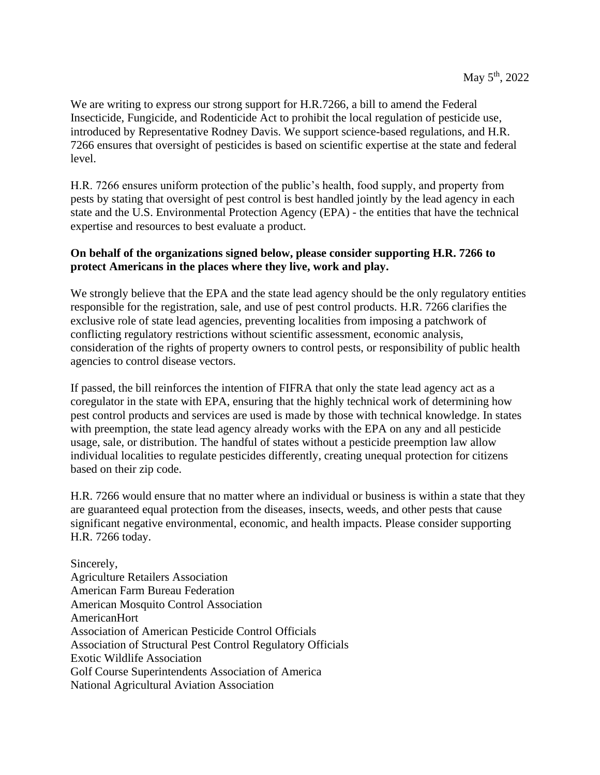We are writing to express our strong support for H.R.7266, a bill to amend the Federal Insecticide, Fungicide, and Rodenticide Act to prohibit the local regulation of pesticide use, introduced by Representative Rodney Davis. We support science-based regulations, and H.R. 7266 ensures that oversight of pesticides is based on scientific expertise at the state and federal level.

H.R. 7266 ensures uniform protection of the public's health, food supply, and property from pests by stating that oversight of pest control is best handled jointly by the lead agency in each state and the U.S. Environmental Protection Agency (EPA) - the entities that have the technical expertise and resources to best evaluate a product.

## **On behalf of the organizations signed below, please consider supporting H.R. 7266 to protect Americans in the places where they live, work and play.**

We strongly believe that the EPA and the state lead agency should be the only regulatory entities responsible for the registration, sale, and use of pest control products. H.R. 7266 clarifies the exclusive role of state lead agencies, preventing localities from imposing a patchwork of conflicting regulatory restrictions without scientific assessment, economic analysis, consideration of the rights of property owners to control pests, or responsibility of public health agencies to control disease vectors.

If passed, the bill reinforces the intention of FIFRA that only the state lead agency act as a coregulator in the state with EPA, ensuring that the highly technical work of determining how pest control products and services are used is made by those with technical knowledge. In states with preemption, the state lead agency already works with the EPA on any and all pesticide usage, sale, or distribution. The handful of states without a pesticide preemption law allow individual localities to regulate pesticides differently, creating unequal protection for citizens based on their zip code.

H.R. 7266 would ensure that no matter where an individual or business is within a state that they are guaranteed equal protection from the diseases, insects, weeds, and other pests that cause significant negative environmental, economic, and health impacts. Please consider supporting H.R. 7266 today.

Sincerely, Agriculture Retailers Association American Farm Bureau Federation American Mosquito Control Association AmericanHort Association of American Pesticide Control Officials Association of Structural Pest Control Regulatory Officials Exotic Wildlife Association Golf Course Superintendents Association of America National Agricultural Aviation Association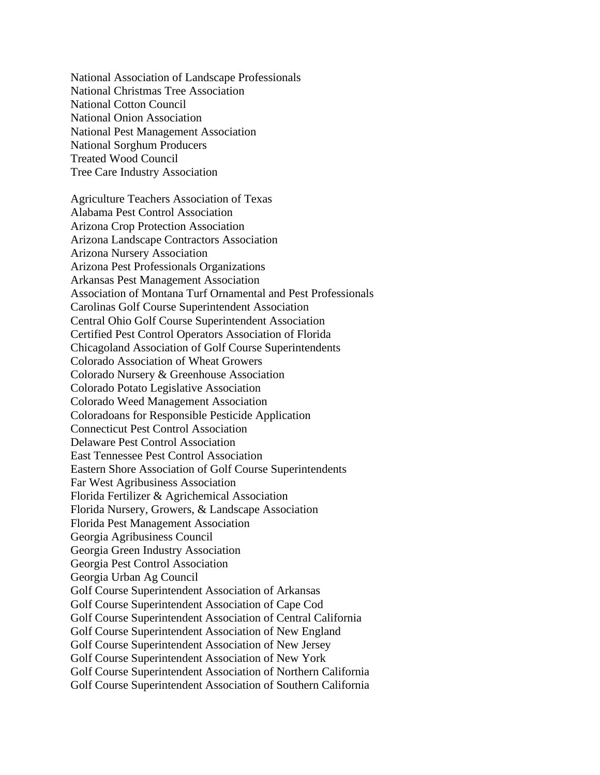National Association of Landscape Professionals National Christmas Tree Association National Cotton Council National Onion Association National Pest Management Association National Sorghum Producers Treated Wood Council Tree Care Industry Association

Agriculture Teachers Association of Texas Alabama Pest Control Association Arizona Crop Protection Association Arizona Landscape Contractors Association Arizona Nursery Association Arizona Pest Professionals Organizations Arkansas Pest Management Association Association of Montana Turf Ornamental and Pest Professionals Carolinas Golf Course Superintendent Association Central Ohio Golf Course Superintendent Association Certified Pest Control Operators Association of Florida Chicagoland Association of Golf Course Superintendents Colorado Association of Wheat Growers Colorado Nursery & Greenhouse Association Colorado Potato Legislative Association Colorado Weed Management Association Coloradoans for Responsible Pesticide Application Connecticut Pest Control Association Delaware Pest Control Association East Tennessee Pest Control Association Eastern Shore Association of Golf Course Superintendents Far West Agribusiness Association Florida Fertilizer & Agrichemical Association Florida Nursery, Growers, & Landscape Association Florida Pest Management Association Georgia Agribusiness Council Georgia Green Industry Association Georgia Pest Control Association Georgia Urban Ag Council Golf Course Superintendent Association of Arkansas Golf Course Superintendent Association of Cape Cod Golf Course Superintendent Association of Central California Golf Course Superintendent Association of New England Golf Course Superintendent Association of New Jersey Golf Course Superintendent Association of New York Golf Course Superintendent Association of Northern California Golf Course Superintendent Association of Southern California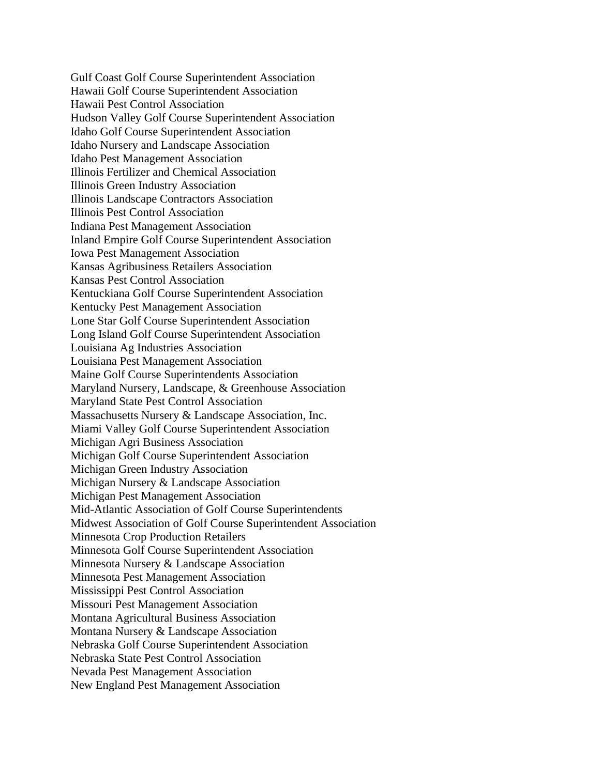Gulf Coast Golf Course Superintendent Association Hawaii Golf Course Superintendent Association Hawaii Pest Control Association Hudson Valley Golf Course Superintendent Association Idaho Golf Course Superintendent Association Idaho Nursery and Landscape Association Idaho Pest Management Association Illinois Fertilizer and Chemical Association Illinois Green Industry Association Illinois Landscape Contractors Association Illinois Pest Control Association Indiana Pest Management Association Inland Empire Golf Course Superintendent Association Iowa Pest Management Association Kansas Agribusiness Retailers Association Kansas Pest Control Association Kentuckiana Golf Course Superintendent Association Kentucky Pest Management Association Lone Star Golf Course Superintendent Association Long Island Golf Course Superintendent Association Louisiana Ag Industries Association Louisiana Pest Management Association Maine Golf Course Superintendents Association Maryland Nursery, Landscape, & Greenhouse Association Maryland State Pest Control Association Massachusetts Nursery & Landscape Association, Inc. Miami Valley Golf Course Superintendent Association Michigan Agri Business Association Michigan Golf Course Superintendent Association Michigan Green Industry Association Michigan Nursery & Landscape Association Michigan Pest Management Association Mid-Atlantic Association of Golf Course Superintendents Midwest Association of Golf Course Superintendent Association Minnesota Crop Production Retailers Minnesota Golf Course Superintendent Association Minnesota Nursery & Landscape Association Minnesota Pest Management Association Mississippi Pest Control Association Missouri Pest Management Association Montana Agricultural Business Association Montana Nursery & Landscape Association Nebraska Golf Course Superintendent Association Nebraska State Pest Control Association Nevada Pest Management Association New England Pest Management Association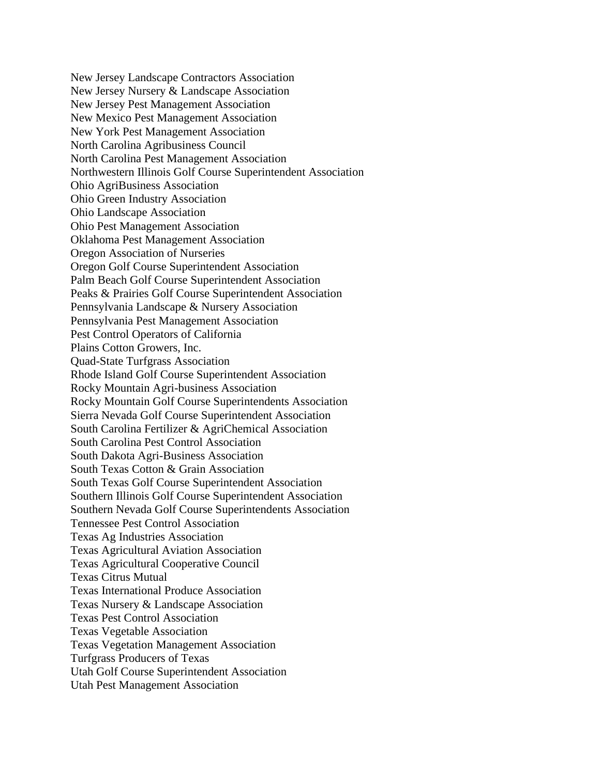New Jersey Landscape Contractors Association New Jersey Nursery & Landscape Association New Jersey Pest Management Association New Mexico Pest Management Association New York Pest Management Association North Carolina Agribusiness Council North Carolina Pest Management Association Northwestern Illinois Golf Course Superintendent Association Ohio AgriBusiness Association Ohio Green Industry Association Ohio Landscape Association Ohio Pest Management Association Oklahoma Pest Management Association Oregon Association of Nurseries Oregon Golf Course Superintendent Association Palm Beach Golf Course Superintendent Association Peaks & Prairies Golf Course Superintendent Association Pennsylvania Landscape & Nursery Association Pennsylvania Pest Management Association Pest Control Operators of California Plains Cotton Growers, Inc. Quad-State Turfgrass Association Rhode Island Golf Course Superintendent Association Rocky Mountain Agri-business Association Rocky Mountain Golf Course Superintendents Association Sierra Nevada Golf Course Superintendent Association South Carolina Fertilizer & AgriChemical Association South Carolina Pest Control Association South Dakota Agri-Business Association South Texas Cotton & Grain Association South Texas Golf Course Superintendent Association Southern Illinois Golf Course Superintendent Association Southern Nevada Golf Course Superintendents Association Tennessee Pest Control Association Texas Ag Industries Association Texas Agricultural Aviation Association Texas Agricultural Cooperative Council Texas Citrus Mutual Texas International Produce Association Texas Nursery & Landscape Association Texas Pest Control Association Texas Vegetable Association Texas Vegetation Management Association Turfgrass Producers of Texas Utah Golf Course Superintendent Association Utah Pest Management Association